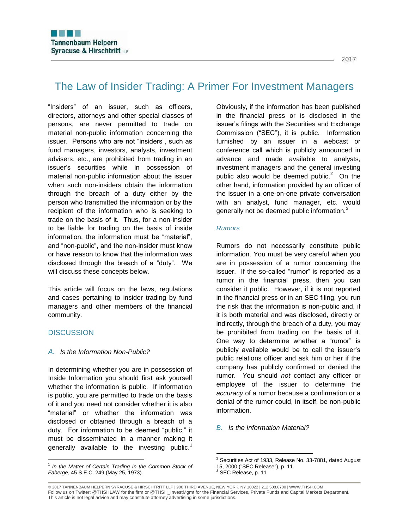# The Law of Insider Trading: A Primer For Investment Managers

"Insiders" of an issuer, such as officers, directors, attorneys and other special classes of persons, are never permitted to trade on material non-public information concerning the issuer. Persons who are not "insiders", such as fund managers, investors, analysts, investment advisers, etc., are prohibited from trading in an issuer's securities while in possession of material non-public information about the issuer when such non-insiders obtain the information through the breach of a duty either by the person who transmitted the information or by the recipient of the information who is seeking to trade on the basis of it. Thus, for a non-insider to be liable for trading on the basis of inside information, the information must be "material", and "non-public", and the non-insider must know or have reason to know that the information was disclosed through the breach of a "duty". We will discuss these concepts below.

This article will focus on the laws, regulations and cases pertaining to insider trading by fund managers and other members of the financial community.

# **DISCUSSION**

 $\overline{a}$ 

### *A. Is the Information Non-Public?*

In determining whether you are in possession of Inside Information you should first ask yourself whether the information is public. If information is public, you are permitted to trade on the basis of it and you need not consider whether it is also "material" or whether the information was disclosed or obtained through a breach of a duty. For information to be deemed "public," it must be disseminated in a manner making it generally available to the investing public.<sup>1</sup>

Obviously, if the information has been published in the financial press or is disclosed in the issuer's filings with the Securities and Exchange Commission ("SEC"), it is public. Information furnished by an issuer in a webcast or conference call which is publicly announced in advance and made available to analysts, investment managers and the general investing public also would be deemed public. $2$  On the other hand, information provided by an officer of the issuer in a one-on-one private conversation with an analyst, fund manager, etc. would generally not be deemed public information.<sup>3</sup>

### *Rumors*

Rumors do not necessarily constitute public information. You must be very careful when you are in possession of a rumor concerning the issuer. If the so-called "rumor" is reported as a rumor in the financial press, then you can consider it public. However, if it is not reported in the financial press or in an SEC filing, you run the risk that the information is non-public and, if it is both material and was disclosed, directly or indirectly, through the breach of a duty, you may be prohibited from trading on the basis of it. One way to determine whether a "rumor" is publicly available would be to call the issuer's public relations officer and ask him or her if the company has publicly confirmed or denied the rumor. You should *not* contact any officer or employee of the issuer to determine the *accuracy* of a rumor because a confirmation or a denial of the rumor could, in itself, be non-public information.

# *B. Is the Information Material?*

© 2017 TANNENBAUM HELPERN SYRACUSE & HIRSCHTRITT LLP | 900 THIRD AVENUE, NEW YORK, NY 10022 | 212.508.6700 | WWW.THSH.COM Follow us on Twitter: @THSHLAW for the firm or @THSH\_InvestMgmt for the Financial Services, Private Funds and Capital Markets Department. This article is not legal advice and may constitute attorney advertising in some jurisdictions.

<sup>&</sup>lt;sup>1</sup> In the Matter of Certain Trading In the Common Stock of *Faberge*, 45 S.E.C. 249 (May 25, 1973).

 $2$  Securities Act of 1933, Release No. 33-7881, dated August 15, 2000 ("SEC Release"), p. 11.  $3$  SEC Release, p. 11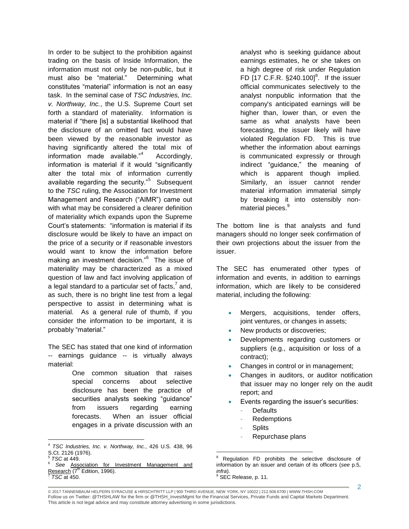In order to be subject to the prohibition against trading on the basis of Inside Information, the information must not only be non-public, but it must also be "material." Determining what constitutes "material" information is not an easy task. In the seminal case of *TSC Industries, Inc. v. Northway, Inc.*, the U.S. Supreme Court set forth a standard of materiality. Information is material if "there [is] a substantial likelihood that the disclosure of an omitted fact would have been viewed by the reasonable investor as having significantly altered the total mix of information made available."<sup>4</sup> Accordingly, information is material if it would "significantly alter the total mix of information currently available regarding the security."<sup>5</sup> Subsequent to the *TSC* ruling, the Association for Investment Management and Research ("AIMR") came out with what may be considered a clearer definition of materiality which expands upon the Supreme Court's statements: "information is material if its disclosure would be likely to have an impact on the price of a security or if reasonable investors would want to know the information before making an investment decision."<sup>6</sup> The issue of materiality may be characterized as a mixed question of law and fact involving application of a legal standard to a particular set of facts,<sup>7</sup> and, as such, there is no bright line test from a legal perspective to assist in determining what is material. As a general rule of thumb, if you consider the information to be important, it is probably "material."

The SEC has stated that one kind of information -- earnings guidance -- is virtually always material:

> One common situation that raises special concerns about selective disclosure has been the practice of securities analysts seeking "guidance" from issuers regarding earning forecasts. When an issuer official engages in a private discussion with an

 $\overline{a}$ 

analyst who is seeking guidance about earnings estimates, he or she takes on a high degree of risk under Regulation FD  $[17 \text{ C.F.R. }$  §240.100]<sup>8</sup>. If the issuer official communicates selectively to the analyst nonpublic information that the company's anticipated earnings will be higher than, lower than, or even the same as what analysts have been forecasting, the issuer likely will have violated Regulation FD. This is true whether the information about earnings is communicated expressly or through indirect "guidance," the meaning of which is apparent though implied. Similarly, an issuer cannot render material information immaterial simply by breaking it into ostensibly nonmaterial pieces.<sup>9</sup>

The bottom line is that analysts and fund managers should no longer seek confirmation of their own projections about the issuer from the issuer.

The SEC has enumerated other types of information and events, in addition to earnings information, which are likely to be considered material, including the following:

- Mergers, acquisitions, tender offers, joint ventures, or changes in assets;
- New products or discoveries;
- Developments regarding customers or suppliers (e.g., acquisition or loss of a contract);
- Changes in control or in management;
- Changes in auditors, or auditor notification that issuer may no longer rely on the audit report; and
- Events regarding the issuer's securities:
	- **Defaults**
	- **Redemptions**
	- **Splits**
	- Repurchase plans

<sup>4</sup> *TSC Industries, Inc. v. Northway, Inc.*, 426 U.S. 438, 96 S.Ct. 2126 (1976).

<sup>5</sup> *TSC* at 449.

<sup>6</sup> *See* Association for Investment Management and Research  $(7<sup>th</sup>$  Edition, 1996). 7

*TSC* at 450.

 $\overline{a}$ <sup>8</sup> Regulation FD prohibits the selective disclosure of information by an issuer and certain of its officers (*see* p.5, *infra*).

SEC Release, p. 11.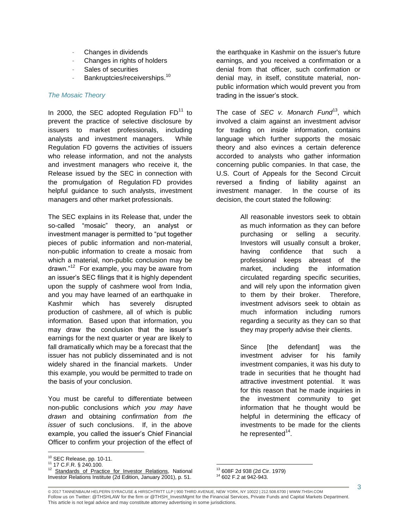- Changes in dividends
- Changes in rights of holders
- Sales of securities
- Bankruptcies/receiverships.<sup>10</sup>

# *The Mosaic Theory*

In 2000, the SEC adopted Regulation  $FD<sup>11</sup>$  to prevent the practice of selective disclosure by issuers to market professionals, including analysts and investment managers. While Regulation FD governs the activities of issuers who release information, and not the analysts and investment managers who receive it, the Release issued by the SEC in connection with the promulgation of Regulation FD provides helpful guidance to such analysts, investment managers and other market professionals.

The SEC explains in its Release that, under the so-called "mosaic" theory, an analyst or investment manager is permitted to "put together pieces of public information and non-material, non-public information to create a mosaic from which a material, non-public conclusion may be drawn."<sup>12</sup> For example, you may be aware from an issuer's SEC filings that it is highly dependent upon the supply of cashmere wool from India, and you may have learned of an earthquake in Kashmir which has severely disrupted production of cashmere, all of which is public information. Based upon that information, you may draw the conclusion that the issuer's earnings for the next quarter or year are likely to fall dramatically which may be a forecast that the issuer has not publicly disseminated and is not widely shared in the financial markets. Under this example, you would be permitted to trade on the basis of your conclusion.

You must be careful to differentiate between non-public conclusions *which you may have drawn* and obtaining *confirmation from the issuer* of such conclusions. If, in the above example, you called the issuer's Chief Financial Officer to confirm your projection of the effect of

 $\overline{a}$ 

the earthquake in Kashmir on the issuer's future earnings, and you received a confirmation or a denial from that officer, such confirmation or denial may, in itself, constitute material, nonpublic information which would prevent you from trading in the issuer's stock.

The case of *SEC v. Monarch Fund*<sup>13</sup>, which involved a claim against an investment advisor for trading on inside information, contains language which further supports the mosaic theory and also evinces a certain deference accorded to analysts who gather information concerning public companies. In that case, the U.S. Court of Appeals for the Second Circuit reversed a finding of liability against an investment manager. In the course of its decision, the court stated the following:

> All reasonable investors seek to obtain as much information as they can before purchasing or selling a security. Investors will usually consult a broker, having confidence that such a professional keeps abreast of the market, including the information circulated regarding specific securities, and will rely upon the information given to them by their broker. Therefore, investment advisors seek to obtain as much information including rumors regarding a security as they can so that they may properly advise their clients.

> Since [the defendant] was the investment adviser for his family investment companies, it was his duty to trade in securities that he thought had attractive investment potential. It was for this reason that he made inquiries in the investment community to get information that he thought would be helpful in determining the efficacy of investments to be made for the clients he represented<sup>14</sup>.

 $10$  SEC Release, pp. 10-11.

<sup>11</sup> 17 C.F.R. § 240.100.

<sup>&</sup>lt;sup>12</sup> Standards of Practice for Investor Relations, National Investor Relations Institute (2d Edition, January 2001), p. 51.

 $\overline{a}$ <sup>13</sup> 608F 2d 938 (2d Cir. 1979)

<sup>14</sup> 602 F.2 at 942-943.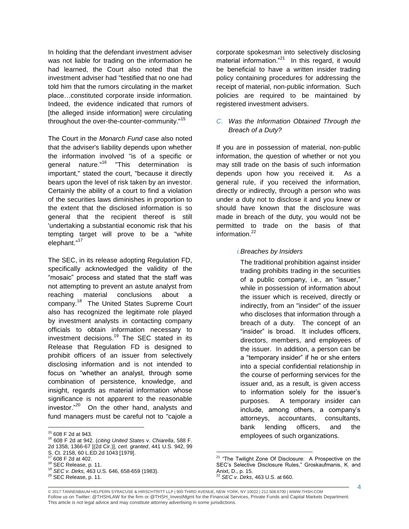In holding that the defendant investment adviser was not liable for trading on the information he had learned, the Court also noted that the investment adviser had "testified that no one had told him that the rumors circulating in the market place…constituted corporate inside information. Indeed, the evidence indicated that rumors of [the alleged inside information] were circulating throughout the over-the-counter-community."<sup>15</sup>

The Court in the *Monarch Fund* case also noted that the adviser's liability depends upon whether the information involved "is of a specific or general nature."<sup>16</sup> "This determination is important," stated the court, "because it directly bears upon the level of risk taken by an investor. Certainly the ability of a court to find a violation of the securities laws diminishes in proportion to the extent that the disclosed information is so general that the recipient thereof is still 'undertaking a substantial economic risk that his tempting target will prove to be a "white elephant."<sup>17</sup>

The SEC, in its release adopting Regulation FD, specifically acknowledged the validity of the "mosaic" process and stated that the staff was not attempting to prevent an astute analyst from reaching material conclusions about a company.<sup>18</sup> The United States Supreme Court also has recognized the legitimate role played by investment analysts in contacting company officials to obtain information necessary to investment decisions.<sup>19</sup> The SEC stated in its Release that Regulation FD is designed to prohibit officers of an issuer from selectively disclosing information and is not intended to focus on "whether an analyst, through some combination of persistence, knowledge, and insight, regards as material information whose significance is not apparent to the reasonable investor."<sup>20</sup> On the other hand, analysts and fund managers must be careful not to "cajole a

 $\overline{a}$ 

<sup>16</sup> 608 F 2d at 942. (*citing United States v. Chiarella*, 588 F. 2d 1358, 1366-67 [(2d Cir.)], *cert. granted*, 441 U.S. 942, 99 corporate spokesman into selectively disclosing material information."<sup>21</sup> In this regard, it would be beneficial to have a written insider trading policy containing procedures for addressing the receipt of material, non-public information. Such policies are required to be maintained by registered investment advisers.

# *C. Was the Information Obtained Through the Breach of a Duty?*

If you are in possession of material, non-public information, the question of whether or not you may still trade on the basis of such information depends upon how you received it. As a general rule, if you received the information, directly or indirectly, through a person who was under a duty not to disclose it and you knew or should have known that the disclosure was made in breach of the duty, you would not be permitted to trade on the basis of that information.<sup>22</sup>

# *i.Breaches by Insiders*

The traditional prohibition against insider trading prohibits trading in the securities of a public company, i.e., an "issuer," while in possession of information about the issuer which is received, directly or indirectly, from an "insider" of the issuer who discloses that information through a breach of a duty. The concept of an "insider" is broad. It includes officers, directors, members, and employees of the issuer. In addition, a person can be a "temporary insider" if he or she enters into a special confidential relationship in the course of performing services for the issuer and, as a result, is given access to information solely for the issuer's purposes. A temporary insider can include, among others, a company's attorneys, accountants, consultants, bank lending officers, and the employees of such organizations.

<sup>15</sup> 608 F 2d at 943.

S. Ct. 2158, 60 L.ED.2d 1043 [1979].

 $17$  608 F 2d at 402.

<sup>&</sup>lt;sup>18</sup> SEC Release, p. 11.

<sup>19</sup> *SEC v. Dirks,* 463 U.S. 646, 658-659 (1983).

<sup>20</sup> SEC Release, p. 11.

<sup>&</sup>lt;sup>21</sup> "The Twilight Zone Of Disclosure: A Prospective on the SEC's Selective Disclosure Rules," Groskaufmanis, K. and Anixt, D., p. 15. <sup>22</sup> *SEC v. Dirks*, 463 U.S. at 660.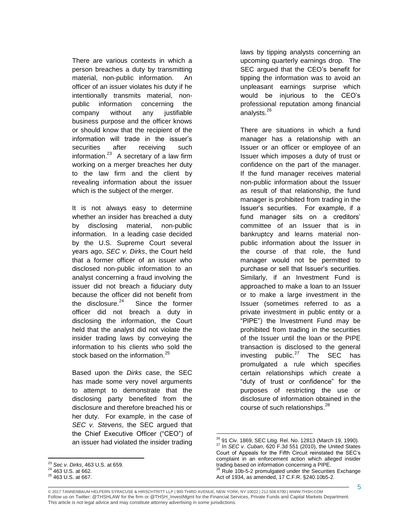There are various contexts in which a person breaches a duty by transmitting material, non-public information. An officer of an issuer violates his duty if he intentionally transmits material, nonpublic information concerning the company without any justifiable business purpose and the officer knows or should know that the recipient of the information will trade in the issuer's securities after receiving such information. $^{23}$  A secretary of a law firm working on a merger breaches her duty to the law firm and the client by revealing information about the issuer which is the subject of the merger.

It is not always easy to determine whether an insider has breached a duty by disclosing material, non-public information. In a leading case decided by the U.S. Supreme Court several years ago, *SEC v. Dirks*, the Court held that a former officer of an issuer who disclosed non-public information to an analyst concerning a fraud involving the issuer did not breach a fiduciary duty because the officer did not benefit from the disclosure. $24$  Since the former officer did not breach a duty in disclosing the information, the Court held that the analyst did not violate the insider trading laws by conveying the information to his clients who sold the stock based on the information.<sup>25</sup>

Based upon the *Dirks* case, the SEC has made some very novel arguments to attempt to demonstrate that the disclosing party benefited from the disclosure and therefore breached his or her duty. For example, in the case of *SEC v. Stevens*, the SEC argued that the Chief Executive Officer ("CEO") of an issuer had violated the insider trading

 $\overline{a}$ 

laws by tipping analysts concerning an upcoming quarterly earnings drop. The SEC argued that the CEO's benefit for tipping the information was to avoid an unpleasant earnings surprise which would be injurious to the CEO's professional reputation among financial analysts.<sup>26</sup>

There are situations in which a fund manager has a relationship with an Issuer or an officer or employee of an Issuer which imposes a duty of trust or confidence on the part of the manager. If the fund manager receives material non-public information about the Issuer as result of that relationship, the fund manager is prohibited from trading in the Issuer's securities. For example, if a fund manager sits on a creditors' committee of an Issuer that is in bankruptcy and learns material nonpublic information about the Issuer in the course of that role, the fund manager would not be permitted to purchase or sell that Issuer's securities. Similarly, if an Investment Fund is approached to make a loan to an Issuer or to make a large investment in the Issuer (sometimes referred to as a private investment in public entity or a "PIPE") the Investment Fund may be prohibited from trading in the securities of the Issuer until the loan or the PIPE transaction is disclosed to the general investing public. $27$  The SEC has promulgated a rule which specifies certain relationships which create a "duty of trust or confidence" for the purposes of restricting the use or disclosure of information obtained in the course of such relationships. $^{28}$ 

<sup>23</sup> *Sec v. Dirks*, 463 U.S. at 659.

 $24\overline{463}$  U.S. at 662.

<sup>25</sup> 463 U.S. at 667.

 $\overline{a}$ <sup>26</sup> 91 Civ. 1869, SEC Litig. Rel. No. 12813 (March 19, 1990). <sup>27</sup> In *SEC v. Cuban*, 620 F.3d 551 (2010), the United States Court of Appeals for the Fifth Circuit reinstated the SEC's complaint in an enforcement action which alleged insider trading based on information concerning a PIPE.

 $28$  Rule 10b-5-2 promulgated under the Securities Exchange Act of 1934, as amended, 17 C.F.R. §240.10b5-2.

<sup>© 2017</sup> TANNENBAUM HELPERN SYRACUSE & HIRSCHTRITT LLP | 900 THIRD AVENUE, NEW YORK, NY 10022 | 212.508.6700 | WWW.THSH.COM Follow us on Twitter: @THSHLAW for the firm or @THSH\_InvestMgmt for the Financial Services, Private Funds and Capital Markets Department. This article is not legal advice and may constitute attorney advertising in some jurisdictions.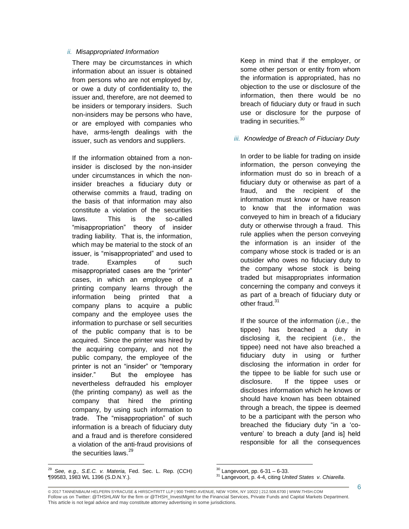### *ii. Misappropriated Information*

There may be circumstances in which information about an issuer is obtained from persons who are not employed by, or owe a duty of confidentiality to, the issuer and, therefore, are not deemed to be insiders or temporary insiders. Such non-insiders may be persons who have, or are employed with companies who have, arms-length dealings with the issuer, such as vendors and suppliers.

If the information obtained from a noninsider is disclosed by the non-insider under circumstances in which the noninsider breaches a fiduciary duty or otherwise commits a fraud, trading on the basis of that information may also constitute a violation of the securities laws. This is the so-called "misappropriation" theory of insider trading liability. That is, the information, which may be material to the stock of an issuer, is "misappropriated" and used to trade. Examples of such misappropriated cases are the "printer" cases, in which an employee of a printing company learns through the information being printed that a company plans to acquire a public company and the employee uses the information to purchase or sell securities of the public company that is to be acquired. Since the printer was hired by the acquiring company, and not the public company, the employee of the printer is not an "insider" or "temporary insider." But the employee has nevertheless defrauded his employer (the printing company) as well as the company that hired the printing company, by using such information to trade. The "misappropriation" of such information is a breach of fiduciary duty and a fraud and is therefore considered a violation of the anti-fraud provisions of the securities laws.<sup>29</sup>

 $\overline{a}$ <sup>29</sup> *See, e.g., S.E.C. v. Materia,* Fed. Sec. L. Rep. (CCH) ¶99583, 1983 WL 1396 (S.D.N.Y.).

Keep in mind that if the employer, or some other person or entity from whom the information is appropriated, has no objection to the use or disclosure of the information, then there would be no breach of fiduciary duty or fraud in such use or disclosure for the purpose of trading in securities.<sup>30</sup>

# *iii. Knowledge of Breach of Fiduciary Duty*

In order to be liable for trading on inside information, the person conveying the information must do so in breach of a fiduciary duty or otherwise as part of a fraud, and the recipient of the information must know or have reason to know that the information was conveyed to him in breach of a fiduciary duty or otherwise through a fraud. This rule applies when the person conveying the information is an insider of the company whose stock is traded or is an outsider who owes no fiduciary duty to the company whose stock is being traded but misappropriates information concerning the company and conveys it as part of a breach of fiduciary duty or other fraud.<sup>31</sup>

If the source of the information (*i.e.*, the tippee) has breached a duty in disclosing it, the recipient (*i.e.*, the tippee) need not have also breached a fiduciary duty in using or further disclosing the information in order for the tippee to be liable for such use or disclosure. If the tippee uses or discloses information which he knows or should have known has been obtained through a breach, the tippee is deemed to be a participant with the person who breached the fiduciary duty "in a 'coventure' to breach a duty [and is] held responsible for all the consequences

© 2017 TANNENBAUM HELPERN SYRACUSE & HIRSCHTRITT LLP | 900 THIRD AVENUE, NEW YORK, NY 10022 | 212.508.6700 | WWW.THSH.COM Follow us on Twitter: @THSHLAW for the firm or @THSH\_InvestMgmt for the Financial Services, Private Funds and Capital Markets Department. This article is not legal advice and may constitute attorney advertising in some jurisdictions.

 $30$  Langevoort, pp. 6-31 – 6-33.

<sup>31</sup> Langevoort, p. 4-4, citing *United States v. Chiarella*.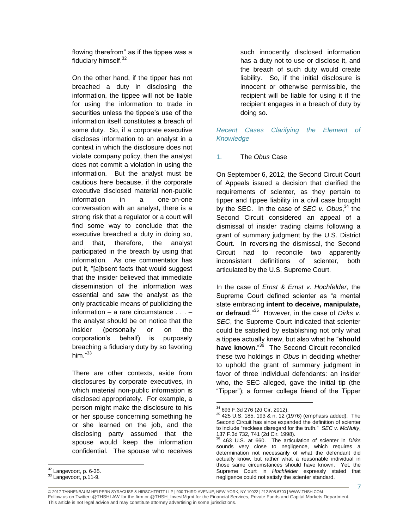flowing therefrom" as if the tippee was a fiduciary himself.<sup>32</sup>

On the other hand, if the tipper has not breached a duty in disclosing the information, the tippee will not be liable for using the information to trade in securities unless the tippee's use of the information itself constitutes a breach of some duty. So, if a corporate executive discloses information to an analyst in a context in which the disclosure does not violate company policy, then the analyst does not commit a violation in using the information. But the analyst must be cautious here because, if the corporate executive disclosed material non-public information in a one-on-one conversation with an analyst, there is a strong risk that a regulator or a court will find some way to conclude that the executive breached a duty in doing so, and that, therefore, the analyst participated in the breach by using that information. As one commentator has put it, "[a]bsent facts that would suggest that the insider believed that immediate dissemination of the information was essential and saw the analyst as the only practicable means of publicizing the information – a rare circumstance . . . – the analyst should be on notice that the insider (personally or on the corporation's behalf) is purposely breaching a fiduciary duty by so favoring him $^{,33}$ 

There are other contexts, aside from disclosures by corporate executives, in which material non-public information is disclosed appropriately. For example, a person might make the disclosure to his or her spouse concerning something he or she learned on the job, and the disclosing party assumed that the spouse would keep the information confidential. The spouse who receives such innocently disclosed information has a duty not to use or disclose it, and the breach of such duty would create liability. So, if the initial disclosure is innocent or otherwise permissible, the recipient will be liable for using it if the recipient engages in a breach of duty by doing so.

*Recent Cases Clarifying the Element of Knowledge*

# 1. The *Obus* Case

On September 6, 2012, the Second Circuit Court of Appeals issued a decision that clarified the requirements of scienter, as they pertain to tipper and tippee liability in a civil case brought by the SEC. In the case of *SEC v. Obus*, <sup>34</sup> the Second Circuit considered an appeal of a dismissal of insider trading claims following a grant of summary judgment by the U.S. District Court. In reversing the dismissal, the Second Circuit had to reconcile two apparently inconsistent definitions of scienter, both articulated by the U.S. Supreme Court.

In the case of *Ernst & Ernst v. Hochfelder*, the Supreme Court defined scienter as "a mental state embracing **intent to deceive, manipulate, or defraud**."<sup>35</sup> However, in the case of *Dirks v. SEC*, the Supreme Court indicated that scienter could be satisfied by establishing not only what a tippee actually knew, but also what he "**should have known**."<sup>36</sup> The Second Circuit reconciled these two holdings in *Obus* in deciding whether to uphold the grant of summary judgment in favor of three individual defendants: an insider who, the SEC alleged, gave the initial tip (the "Tipper"); a former college friend of the Tipper

 $\overline{a}$  $32$  Langevoort, p. 6-35.

<sup>33</sup> Langevoort, p.11-9.

 $\overline{a}$ <sup>34</sup> 693 F.3d 276 (2d Cir. 2012).

 $35$  425 U.S. 185, 193 & n. 12 (1976) (emphasis added). The Second Circuit has since expanded the definition of scienter to include "reckless disregard for the truth." *SEC v. McNulty*, 137 F.3d 732, 741 (2d Cir. 1998).

<sup>36</sup> 463 U.S. at 660. The articulation of scienter in *Dirks* sounds very close to negligence, which requires a determination not necessarily of what the defendant did actually know, but rather what a reasonable individual in those same circumstances should have known. Yet, the Supreme Court in *Hochfelder* expressly stated that negligence could not satisfy the scienter standard.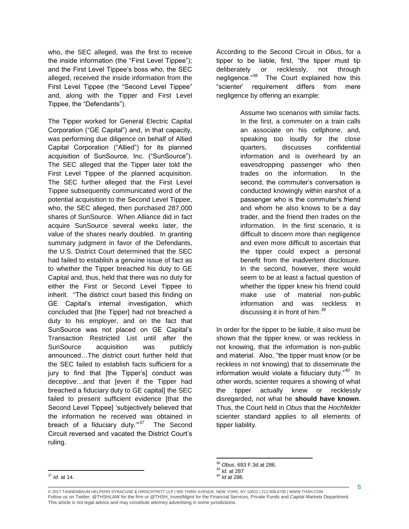who, the SEC alleged, was the first to receive the inside information (the "First Level Tippee"); and the First Level Tippee's boss who, the SEC alleged, received the inside information from the First Level Tippee (the "Second Level Tippee" and, along with the Tipper and First Level Tippee, the "Defendants").

The Tipper worked for General Electric Capital Corporation ("GE Capital") and, in that capacity, was performing due diligence on behalf of Allied Capital Corporation ("Allied") for its planned acquisition of SunSource, Inc. ("SunSource"). The SEC alleged that the Tipper later told the First Level Tippee of the planned acquisition. The SEC further alleged that the First Level Tippee subsequently communicated word of the potential acquisition to the Second Level Tippee, who, the SEC alleged, then purchased 287,000 shares of SunSource. When Alliance did in fact acquire SunSource several weeks later, the value of the shares nearly doubled. In granting summary judgment in favor of the Defendants, the U.S. District Court determined that the SEC had failed to establish a genuine issue of fact as to whether the Tipper breached his duty to GE Capital and, thus, held that there was no duty for either the First or Second Level Tippee to inherit. "The district court based this finding on GE Capital's internal investigation, which concluded that [the Tipper] had not breached a duty to his employer, and on the fact that SunSource was not placed on GE Capital's Transaction Restricted List until after the SunSource acquisition was publicly announced…The district court further held that the SEC failed to establish facts sufficient for a jury to find that [the Tipper's] conduct was deceptive…and that [even if the Tipper had breached a fiduciary duty to GE capital] the SEC failed to present sufficient evidence [that the Second Level Tippee] 'subjectively believed that the information he received was obtained in breach of a fiduciary duty."<sup>37</sup> The Second Circuit reversed and vacated the District Court's ruling.

According to the Second Circuit in *Obus*, for a tipper to be liable, first, "the tipper must tip deliberately or recklessly, not through negligence."<sup>38</sup> The Court explained how this "scienter' requirement differs from mere negligence by offering an example:

> Assume two scenarios with similar facts. In the first, a commuter on a train calls an associate on his cellphone, and, speaking too loudly for the close quarters, discusses confidential information and is overheard by an eavesdropping passenger who then trades on the information. In the second, the commuter's conversation is conducted knowingly within earshot of a passenger who is the commuter's friend and whom he also knows to be a day trader, and the friend then trades on the information. In the first scenario, it is difficult to discern more than negligence and even more difficult to ascertain that the tipper could expect a personal benefit from the inadvertent disclosure. In the second, however, there would seem to be at least a factual question of whether the tipper knew his friend could make use of material non-public information and was reckless in discussing it in front of him.<sup>39</sup>

In order for the tipper to be liable, it also must be shown that the tipper knew, or was reckless in not knowing, that the information is non-public and material. Also, "the tipper must know (or be reckless in not knowing) that to disseminate the information would violate a fiduciary duty."<sup>40</sup> In other words, scienter requires a showing of what the tipper actually knew or recklessly disregarded, not what he **should have known**. Thus, the Court held in *Obus* that the *Hochfelder* scienter standard applies to all elements of tipper liability.

 $\overline{a}$ <sup>38</sup> *Obus*, 693 F.3d at 286.

<sup>39</sup> *Id.* at 287

<sup>40</sup> *Id* at 286*.*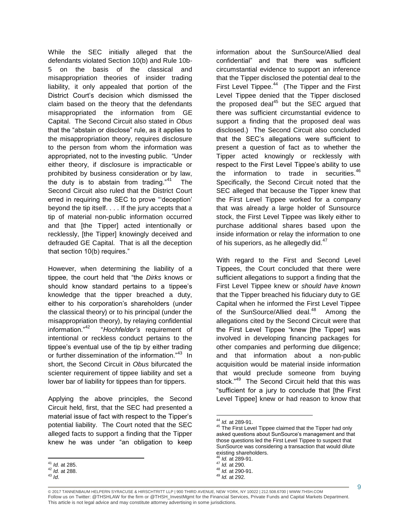While the SEC initially alleged that the defendants violated Section 10(b) and Rule 10b-5 on the basis of the classical and misappropriation theories of insider trading liability, it only appealed that portion of the District Court's decision which dismissed the claim based on the theory that the defendants misappropriated the information from GE Capital. The Second Circuit also stated in *Obus*  that the "abstain or disclose" rule, as it applies to the misappropriation theory, requires disclosure to the person from whom the information was appropriated, not to the investing public. "Under either theory, if disclosure is impracticable or prohibited by business consideration or by law, the duty is to abstain from trading. $141$  The Second Circuit also ruled that the District Court erred in requiring the SEC to prove "'deception' beyond the tip itself. . . . If the jury accepts that a tip of material non-public information occurred and that [the Tipper] acted intentionally or recklessly, [the Tipper] knowingly deceived and defrauded GE Capital. That is all the deception that section 10(b) requires."

However, when determining the liability of a tippee, the court held that "the *Dirks* knows or should know standard pertains to a tippee's knowledge that the tipper breached a duty, either to his corporation's shareholders (under the classical theory) or to his principal (under the misappropriation theory), by relaying confidential information."<sup>42</sup> "*Hochfelder's* requirement of intentional or reckless conduct pertains to the tippee's eventual use of the tip by either trading or further dissemination of the information."<sup>43</sup> In short, the Second Circuit in *Obus* bifurcated the scienter requirement of tippee liability and set a lower bar of liability for tippees than for tippers.

Applying the above principles, the Second Circuit held, first, that the SEC had presented a material issue of fact with respect to the Tipper's potential liability. The Court noted that the SEC alleged facts to support a finding that the Tipper knew he was under "an obligation to keep

 $\overline{a}$ 

information about the SunSource/Allied deal confidential" and that there was sufficient circumstantial evidence to support an inference that the Tipper disclosed the potential deal to the First Level Tippee.<sup>44</sup> (The Tipper and the First Level Tippee denied that the Tipper disclosed the proposed deal $45$  but the SEC argued that there was sufficient circumstantial evidence to support a finding that the proposed deal was disclosed.) The Second Circuit also concluded that the SEC's allegations were sufficient to present a question of fact as to whether the Tipper acted knowingly or recklessly with respect to the First Level Tippee's ability to use the information to trade in securities. $46$ Specifically, the Second Circuit noted that the SEC alleged that because the Tipper knew that the First Level Tippee worked for a company that was already a large holder of Sunsource stock, the First Level Tippee was likely either to purchase additional shares based upon the inside information or relay the information to one of his superiors, as he allegedly did. $^{47}$ 

With regard to the First and Second Level Tippees, the Court concluded that there were sufficient allegations to support a finding that the First Level Tippee knew or *should have known* that the Tipper breached his fiduciary duty to GE Capital when he informed the First Level Tippee of the SunSource/Allied deal.<sup>48</sup> Among the allegations cited by the Second Circuit were that the First Level Tippee "knew [the Tipper] was involved in developing financing packages for other companies and performing due diligence; and that information about a non-public acquisition would be material inside information that would preclude someone from buying stock."<sup>49</sup> The Second Circuit held that this was "sufficient for a jury to conclude that [the First Level Tippee] knew or had reason to know that

<sup>41</sup> *Id.* at 285.

<sup>42</sup> *Id.* at 288.

<sup>43</sup> *Id*.

 $\overline{a}$ <sup>44</sup> *Id.* at 289-91.

<sup>&</sup>lt;sup>45</sup> The First Level Tippee claimed that the Tipper had only asked questions about SunSource's management and that those questions led the First Level Tippee to suspect that SunSource was considering a transaction that would dilute existing shareholders.

<sup>46</sup> *Id.* at 289-91.

<sup>47</sup> *Id.* at 290.

<sup>48</sup> *Id.* at 290-91.

<sup>49</sup> *Id.* at 292.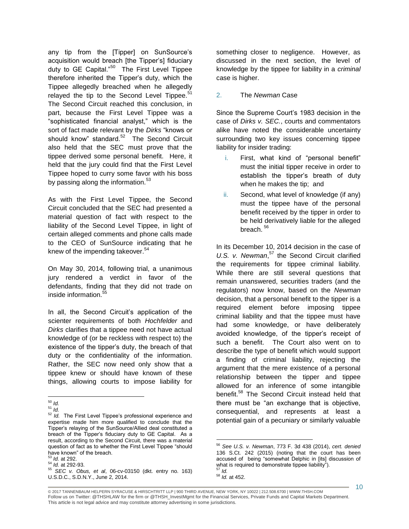any tip from the [Tipper] on SunSource's acquisition would breach [the Tipper's] fiduciary duty to GE Capital."<sup>50</sup> The First Level Tippee therefore inherited the Tipper's duty, which the Tippee allegedly breached when he allegedly relayed the tip to the Second Level Tippee. $51$ The Second Circuit reached this conclusion, in part, because the First Level Tippee was a "sophisticated financial analyst," which is the sort of fact made relevant by the *Dirks* "knows or should know" standard.<sup>52</sup> The Second Circuit also held that the SEC must prove that the tippee derived some personal benefit. Here, it held that the jury could find that the First Level Tippee hoped to curry some favor with his boss by passing along the information. $53$ 

As with the First Level Tippee, the Second Circuit concluded that the SEC had presented a material question of fact with respect to the liability of the Second Level Tippee, in light of certain alleged comments and phone calls made to the CEO of SunSource indicating that he knew of the impending takeover.<sup>54</sup>

On May 30, 2014, following trial, a unanimous jury rendered a verdict in favor of the defendants, finding that they did not trade on inside information.<sup>55</sup>

In all, the Second Circuit's application of the scienter requirements of both *Hochfelder* and *Dirks* clarifies that a tippee need not have actual knowledge of (or be reckless with respect to) the existence of the tipper's duty, the breach of that duty or the confidentiality of the information. Rather, the SEC now need only show that a tippee knew or should have known of these things, allowing courts to impose liability for something closer to negligence. However, as discussed in the next section, the level of knowledge by the tippee for liability in a *criminal* case is higher.

### 2. The *Newman* Case

Since the Supreme Court's 1983 decision in the case of *Dirks v. SEC.*, courts and commentators alike have noted the considerable uncertainty surrounding two key issues concerning tippee liability for insider trading:

- i. First, what kind of "personal benefit" must the initial tipper receive in order to establish the tipper's breath of duty when he makes the tip; and
- ii. Second, what level of knowledge (if any) must the tippee have of the personal benefit received by the tipper in order to be held derivatively liable for the alleged breach. <sup>56</sup>

In its December 10, 2014 decision in the case of U.S. v. Newman,<sup>57</sup> the Second Circuit clarified the requirements for tippee criminal liability. While there are still several questions that remain unanswered, securities traders (and the regulators) now know, based on the *Newman* decision, that a personal benefit to the tipper is a required element before imposing tippee criminal liability and that the tippee must have had some knowledge, or have deliberately avoided knowledge, of the tipper's receipt of such a benefit. The Court also went on to describe the type of benefit which would support a finding of criminal liability, rejecting the argument that the mere existence of a personal relationship between the tipper and tippee allowed for an inference of some intangible benefit.<sup>58</sup> The Second Circuit instead held that there must be "an exchange that is objective, consequential, and represents at least a potential gain of a pecuniary or similarly valuable

 $\overline{a}$ <sup>50</sup> *Id.*

<sup>51</sup> *Id.*

<sup>&</sup>lt;sup>52</sup> *Id.* The First Level Tippee's professional experience and expertise made him more qualified to conclude that the Tipper's relaying of the SunSource/Allied deal constituted a breach of the Tipper's fiduciary duty to GE Capital. As a result, according to the Second Circuit, there was a material question of fact as to whether the First Level Tippee "should have known" of the breach.

<sup>53</sup> *Id.* at 292.

<sup>54</sup> *Id.* at 292-93.

<sup>55</sup> *SEC v. Obus, et al*, 06-cv-03150 (dkt. entry no. 163) U.S.D.C., S.D.N.Y., June 2, 2014.

 $\overline{a}$ <sup>56</sup> *See U.S. v. Newman*, 773 F. 3d 438 (2014), *cert. denied*  136 S.Ct. 242 (2015) (noting that the court has been accused of being "somewhat Delphic in [its] discussion of what is required to demonstrate tippee liability"). <sup>57</sup> *Id.*

<sup>58</sup> *Id.* at 452.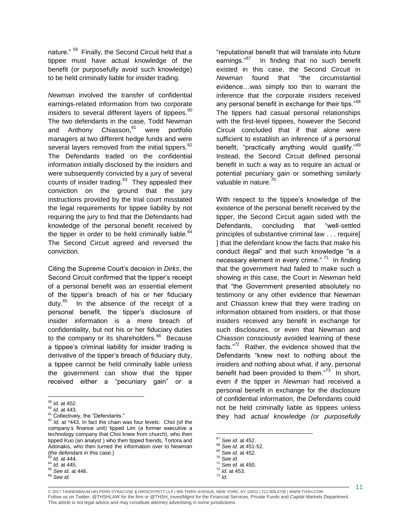nature." <sup>59</sup> Finally, the Second Circuit held that a tippee must have actual knowledge of the benefit (or purposefully avoid such knowledge) to be held criminally liable for insider trading.

*Newman* involved the transfer of confidential earnings-related information from two corporate insiders to several different layers of tippees.  $60$ The two defendants in the case, Todd Newman and Anthony Chiasson.<sup>61</sup> were portfolio managers at two different hedge funds and were several layers removed from the initial tippers. $^{62}$ The Defendants traded on the confidential information initially disclosed by the insiders and were subsequently convicted by a jury of several counts of insider trading.<sup>63</sup> They appealed their conviction on the ground that the jury instructions provided by the trial court misstated the legal requirements for tippee liability by not requiring the jury to find that the Defendants had knowledge of the personal benefit received by the tipper in order to be held criminally liable. $6$ The Second Circuit agreed and reversed the conviction.

Citing the Supreme Court's decision in *Dirks*, the Second Circuit confirmed that the tipper's receipt of a personal benefit was an essential element of the tipper's breach of his or her fiduciary duty.<sup>65</sup> In the absence of the receipt of a personal benefit, the tipper's disclosure of insider information is a mere breach of confidentiality, but not his or her fiduciary duties to the company or its shareholders.<sup>66</sup> Because a tippee's criminal liability for insider trading is derivative of the tipper's breach of fiduciary duty, a tippee cannot be held criminally liable unless the government can show that the tipper received either a "pecuniary gain" or a

"reputational benefit that will translate into future earnings."<sup>67</sup> In finding that no such benefit existed in this case, the Second Circuit in *Newman* found that "the circumstantial evidence…was simply too thin to warrant the inference that the corporate insiders received any personal benefit in exchange for their tips." $68$ The tippers had casual personal relationships with the first-level tippees, however the Second Circuit concluded that if that alone were sufficient to establish an inference of a personal benefit, "practically anything would qualify."<sup>69</sup> Instead, the Second Circuit defined personal benefit in such a way as to require an actual or potential pecuniary gain or something similarly valuable in nature.<sup>70</sup>

With respect to the tippee's knowledge of the existence of the personal benefit received by the tipper, the Second Circuit again sided with the Defendants, concluding that "well-settled principles of substantive criminal law . . . require[ ] that the defendant know the facts that make his conduct illegal" and that such knowledge "is a necessary element in every crime." <sup>71</sup> In finding that the government had failed to make such a showing in this case, the Court in *Newman* held that "the Government presented absolutely no testimony or any other evidence that Newman and Chiasson knew that they were trading on information obtained from insiders, or that those insiders received any benefit in exchange for such disclosures, or even that Newman and Chiasson consciously avoided learning of these facts."<sup>72</sup> Rather, the evidence showed that the Defendants "knew next to nothing about the insiders and nothing about what, if any, personal benefit had been provided to them."<sup>73</sup> In short, even if the tipper in *Newman* had received a personal benefit in exchange for the disclosure of confidential information, the Defendants could not be held criminally liable as tippees unless they had *actual knowledge (or purposefully* 

 $\overline{a}$ <sup>59</sup> *Id.* at 452.

<sup>60</sup> *Id.* at 443.

<sup>&</sup>lt;sup>61</sup> Collectively, the "Defendants."

<sup>62</sup> *Id.* at \*443. In fact the chain was four levels: Choi (of the company's finance unit) tipped Lim (a former executive a technology company that Choi knew from church), who then tipped Kuo (an analyst ) who then tipped friends, Tortora and Adonakis, who then turned the information over to Newman (the defendant in this case.) <sup>63</sup> *Id.* at 444.

<sup>64</sup> *Id.* at 445.

<sup>65</sup> *See id.* at 446.

<sup>66</sup> *See id.*

<sup>67</sup> *See id.* at 452.

<sup>68</sup> *See id.* at 451-52.

<sup>69</sup> *See id.* at 452.

<sup>70</sup> *See id*.

<sup>71</sup> *See id.* at 450. <sup>72</sup> *Id.* at 453.

<sup>73</sup> *Id.*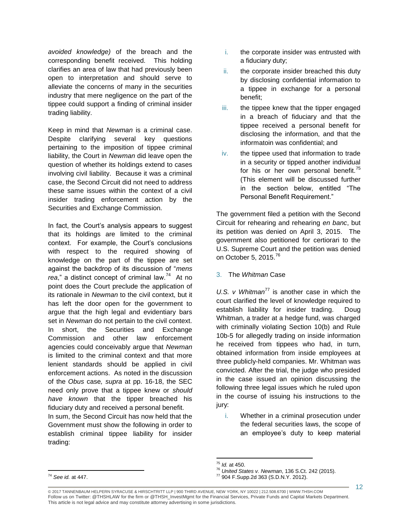*avoided knowledge)* of the breach and the corresponding benefit received. This holding clarifies an area of law that had previously been open to interpretation and should serve to alleviate the concerns of many in the securities industry that mere negligence on the part of the tippee could support a finding of criminal insider trading liability.

Keep in mind that *Newman* is a criminal case. Despite clarifying several key questions pertaining to the imposition of tippee criminal liability, the Court in *Newman* did leave open the question of whether its holdings extend to cases involving civil liability. Because it was a criminal case, the Second Circuit did not need to address these same issues within the context of a civil insider trading enforcement action by the Securities and Exchange Commission.

In fact, the Court's analysis appears to suggest that its holdings are limited to the criminal context. For example, the Court's conclusions with respect to the required showing of knowledge on the part of the tippee are set against the backdrop of its discussion of "*mens*  rea," a distinct concept of criminal law.<sup>74</sup> At no point does the Court preclude the application of its rationale in *Newman* to the civil context, but it has left the door open for the government to argue that the high legal and evidentiary bars set in *Newman* do not pertain to the civil context. In short, the Securities and Exchange Commission and other law enforcement agencies could conceivably argue that *Newman* is limited to the criminal context and that more lenient standards should be applied in civil enforcement actions. As noted in the discussion of the *Obus* case*, supra* at pp. 16-18, the SEC need only prove that a tippee knew or *should have known* that the tipper breached his fiduciary duty and received a personal benefit.

In sum, the Second Circuit has now held that the Government must show the following in order to establish criminal tippee liability for insider trading:

- i. the corporate insider was entrusted with a fiduciary duty;
- ii. the corporate insider breached this duty by disclosing confidential information to a tippee in exchange for a personal benefit;
- iii. the tippee knew that the tipper engaged in a breach of fiduciary and that the tippee received a personal benefit for disclosing the information, and that the informatoin was confidential; and
- iv. the tippee used that information to trade in a security or tipped another individual for his or her own personal benefit. $75$ (This element will be discussed further in the section below, entitled "The Personal Benefit Requirement."

The government filed a petition with the Second Circuit for rehearing and rehearing *en banc*, but its petition was denied on April 3, 2015. The government also petitioned for certiorari to the U.S. Supreme Court and the petition was denied on October 5, 2015. $^{76}$ 

3. The *Whitman* Case

*U.S. v Whitman*<sup>77</sup> is another case in which the court clarified the level of knowledge required to establish liability for insider trading. Doug Whitman, a trader at a hedge fund, was charged with criminally violating Section 10(b) and Rule 10b-5 for allegedly trading on inside information he received from tippees who had, in turn, obtained information from inside employees at three publicly-held companies. Mr. Whitman was convicted. After the trial, the judge who presided in the case issued an opinion discussing the following three legal issues which he ruled upon in the course of issuing his instructions to the jury:

i. Whether in a criminal prosecution under the federal securities laws, the scope of an employee's duty to keep material

 $\overline{a}$ 

<sup>75</sup> *Id.* at 450.

<sup>76</sup> *United States v. Newman*, 136 S.Ct. 242 (2015).

<sup>77</sup> 904 F.Supp.2d 363 (S.D.N.Y. 2012).

<sup>© 2017</sup> TANNENBAUM HELPERN SYRACUSE & HIRSCHTRITT LLP | 900 THIRD AVENUE, NEW YORK, NY 10022 | 212.508.6700 | WWW.THSH.COM Follow us on Twitter: @THSHLAW for the firm or @THSH\_InvestMgmt for the Financial Services, Private Funds and Capital Markets Department. This article is not legal advice and may constitute attorney advertising in some jurisdictions.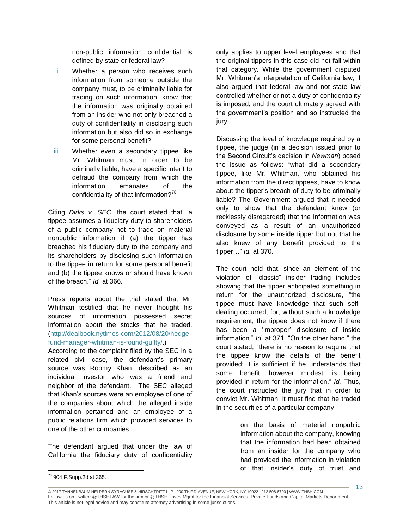non-public information confidential is defined by state or federal law?

- ii. Whether a person who receives such information from someone outside the company must, to be criminally liable for trading on such information, know that the information was originally obtained from an insider who not only breached a duty of confidentiality in disclosing such information but also did so in exchange for some personal benefit?
- iii. Whether even a secondary tippee like Mr. Whitman must, in order to be criminally liable, have a specific intent to defraud the company from which the information emanates of the confidentiality of that information?<sup>78</sup>

Citing *Dirks v. SEC*, the court stated that "a tippee assumes a fiduciary duty to shareholders of a public company not to trade on material nonpublic information if (a) the tipper has breached his fiduciary duty to the company and its shareholders by disclosing such information to the tippee in return for some personal benefit and (b) the tippee knows or should have known of the breach." *Id.* at 366.

Press reports about the trial stated that Mr. Whitman testified that he never thought his sources of information possessed secret information about the stocks that he traded. (http://dealbook.nytimes.com/2012/08/20/hedgefund-manager-whitman-is-found-guilty/.)

According to the complaint filed by the SEC in a related civil case, the defendant's primary source was Roomy Khan, described as an individual investor who was a friend and neighbor of the defendant. The SEC alleged that Khan's sources were an employee of one of the companies about which the alleged inside information pertained and an employee of a public relations firm which provided services to one of the other companies.

The defendant argued that under the law of California the fiduciary duty of confidentiality

only applies to upper level employees and that the original tippers in this case did not fall within that category. While the government disputed Mr. Whitman's interpretation of California law, it also argued that federal law and not state law controlled whether or not a duty of confidentiality is imposed, and the court ultimately agreed with the government's position and so instructed the jury.

Discussing the level of knowledge required by a tippee, the judge (in a decision issued prior to the Second Circuit's decision in *Newman*) posed the issue as follows: "what did a secondary tippee, like Mr. Whitman, who obtained his information from the direct tippees, have to know about the tipper's breach of duty to be criminally liable? The Government argued that it needed only to show that the defendant knew (or recklessly disregarded) that the information was conveyed as a result of an unauthorized disclosure by some inside tipper but not that he also knew of any benefit provided to the tipper…" *Id.* at 370.

The court held that, since an element of the violation of "classic" insider trading includes showing that the tipper anticipated something in return for the unauthorized disclosure, "the tippee must have knowledge that such selfdealing occurred, for, without such a knowledge requirement, the tippee does not know if there has been a 'improper' disclosure of inside information." *Id.* at 371. "On the other hand," the court stated, "there is no reason to require that the tippee know the details of the benefit provided; it is sufficient if he understands that some benefit, however modest, is being provided in return for the information." *Id.* Thus, the court instructed the jury that in order to convict Mr. Whitman, it must find that he traded in the securities of a particular company

> on the basis of material nonpublic information about the company, knowing that the information had been obtained from an insider for the company who had provided the information in violation of that insider's duty of trust and

<sup>&</sup>lt;sup>78</sup> 904 F.Supp.2d at 365.

<sup>© 2017</sup> TANNENBAUM HELPERN SYRACUSE & HIRSCHTRITT LLP | 900 THIRD AVENUE, NEW YORK, NY 10022 | 212.508.6700 | WWW.THSH.COM Follow us on Twitter: @THSHLAW for the firm or @THSH\_InvestMgmt for the Financial Services, Private Funds and Capital Markets Department. This article is not legal advice and may constitute attorney advertising in some jurisdictions.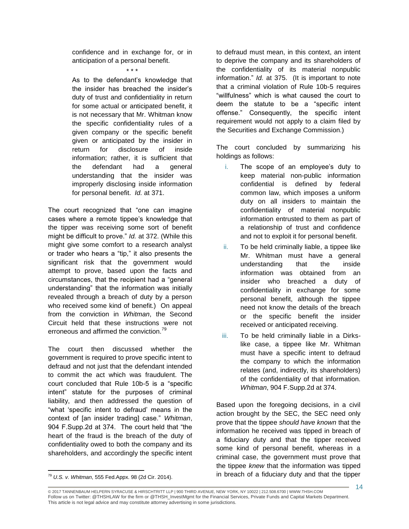confidence and in exchange for, or in anticipation of a personal benefit.

\* \* \*

As to the defendant's knowledge that the insider has breached the insider's duty of trust and confidentiality in return for some actual or anticipated benefit, it is not necessary that Mr. Whitman know the specific confidentiality rules of a given company or the specific benefit given or anticipated by the insider in return for disclosure of inside information; rather, it is sufficient that the defendant had a general understanding that the insider was improperly disclosing inside information for personal benefit. *Id.* at 371.

The court recognized that "one can imagine cases where a remote tippee's knowledge that the tipper was receiving some sort of benefit might be difficult to prove." *Id.* at 372. (While this might give some comfort to a research analyst or trader who hears a "tip," it also presents the significant risk that the government would attempt to prove, based upon the facts and circumstances, that the recipient had a "general understanding" that the information was initially revealed through a breach of duty by a person who received some kind of benefit.) On appeal from the conviction in *Whitman*, the Second Circuit held that these instructions were not erroneous and affirmed the conviction.<sup>79</sup>

The court then discussed whether the government is required to prove specific intent to defraud and not just that the defendant intended to commit the act which was fraudulent. The court concluded that Rule 10b-5 is a "specific intent" statute for the purposes of criminal liability, and then addressed the question of "what 'specific intent to defraud' means in the context of [an insider trading] case." *Whitman*, 904 F.Supp.2d at 374. The court held that "the heart of the fraud is the breach of the duty of confidentiality owed to both the company and its shareholders, and accordingly the specific intent

to defraud must mean, in this context, an intent to deprive the company and its shareholders of the confidentiality of its material nonpublic information." *Id.* at 375. (It is important to note that a criminal violation of Rule 10b-5 requires "willfulness" which is what caused the court to deem the statute to be a "specific intent offense." Consequently, the specific intent requirement would not apply to a claim filed by the Securities and Exchange Commission.)

The court concluded by summarizing his holdings as follows:

- i. The scope of an employee's duty to keep material non-public information confidential is defined by federal common law, which imposes a uniform duty on all insiders to maintain the confidentiality of material nonpublic information entrusted to them as part of a relationship of trust and confidence and not to exploit it for personal benefit.
- ii. To be held criminally liable, a tippee like Mr. Whitman must have a general understanding that the inside information was obtained from an insider who breached a duty of confidentiality in exchange for some personal benefit, although the tippee need not know the details of the breach or the specific benefit the insider received or anticipated receiving.
- iii. To be held criminally liable in a Dirkslike case, a tippee like Mr. Whitman must have a specific intent to defraud the company to which the information relates (and, indirectly, its shareholders) of the confidentiality of that information. *Whitman*, 904 F.Supp.2d at 374.

Based upon the foregoing decisions, in a civil action brought by the SEC, the SEC need only prove that the tippee *should have known* that the information he received was tipped in breach of a fiduciary duty and that the tipper received some kind of personal benefit, whereas in a criminal case, the government must prove that the tippee *knew* that the information was tipped in breach of a fiduciary duty and that the tipper

<sup>79</sup> *U.S. v. Whitman*, 555 Fed.Appx. 98 (2d Cir. 2014).

<sup>© 2017</sup> TANNENBAUM HELPERN SYRACUSE & HIRSCHTRITT LLP | 900 THIRD AVENUE, NEW YORK, NY 10022 | 212.508.6700 | WWW.THSH.COM Follow us on Twitter: @THSHLAW for the firm or @THSH\_InvestMgmt for the Financial Services, Private Funds and Capital Markets Department. This article is not legal advice and may constitute attorney advertising in some jurisdictions.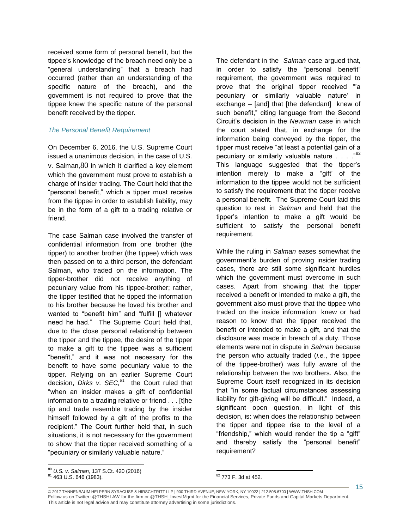received some form of personal benefit, but the tippee's knowledge of the breach need only be a "general understanding" that a breach had occurred (rather than an understanding of the specific nature of the breach), and the government is not required to prove that the tippee knew the specific nature of the personal benefit received by the tipper.

### *The Personal Benefit Requirement*

On December 6, 2016, the U.S. Supreme Court issued a unanimous decision, in the case of U.S. v. Salman,80 in which it clarified a key element which the government must prove to establish a charge of insider trading. The Court held that the "personal benefit," which a tipper must receive from the tippee in order to establish liability, may be in the form of a gift to a trading relative or friend.

The case Salman case involved the transfer of confidential information from one brother (the tipper) to another brother (the tippee) which was then passed on to a third person, the defendant Salman, who traded on the information. The tipper-brother did not receive anything of pecuniary value from his tippee-brother; rather, the tipper testified that he tipped the information to his brother because he loved his brother and wanted to "benefit him" and "fulfill [] whatever need he had." The Supreme Court held that, due to the close personal relationship between the tipper and the tippee, the desire of the tipper to make a gift to the tippee was a sufficient "benefit," and it was not necessary for the benefit to have some pecuniary value to the tipper. Relying on an earlier Supreme Court decision, *Dirks v. SEC,<sup>81</sup>* the Court ruled that "when an insider makes a gift of confidential information to a trading relative or friend . . . [t]he tip and trade resemble trading by the insider himself followed by a gift of the profits to the recipient." The Court further held that, in such situations, it is not necessary for the government to show that the tipper received something of a "pecuniary or similarly valuable nature."

The defendant in the *Salman* case argued that, in order to satisfy the "personal benefit" requirement, the government was required to prove that the original tipper received "'a pecuniary or similarly valuable nature' in exchange – [and] that [the defendant] knew of such benefit," citing language from the Second Circuit's decision in the *Newman* case in which the court stated that, in exchange for the information being conveyed by the tipper, the tipper must receive "at least a potential gain of a pecuniary or similarly valuable nature . . . . "82 This language suggested that the tipper's intention merely to make a "gift' of the information to the tippee would not be sufficient to satisfy the requirement that the tipper receive a personal benefit. The Supreme Court laid this question to rest in *Salman* and held that the tipper's intention to make a gift would be sufficient to satisfy the personal benefit requirement.

While the ruling in *Salman* eases somewhat the government's burden of proving insider trading cases, there are still some significant hurdles which the government must overcome in such cases. Apart from showing that the tipper received a benefit or intended to make a gift, the government also must prove that the tippee who traded on the inside information knew or had reason to know that the tipper received the benefit or intended to make a gift, and that the disclosure was made in breach of a duty. Those elements were not in dispute in *Salman* because the person who actually traded (*i.e.*, the tippee of the tippee-brother) was fully aware of the relationship between the two brothers. Also, the Supreme Court itself recognized in its decision that "in some factual circumstances assessing liability for gift-giving will be difficult." Indeed, a significant open question, in light of this decision, is: when does the relationship between the tipper and tippee rise to the level of a "friendship," which would render the tip a "gift" and thereby satisfy the "personal benefit" requirement?

 $\overline{a}$ <sup>80</sup> *U.S. v. Salman*, 137 S.Ct. 420 (2016)

<sup>81</sup> 463 U.S. 646 (1983).

 $\overline{a}$ <sup>82</sup> 773 F. 3d at 452.

<sup>© 2017</sup> TANNENBAUM HELPERN SYRACUSE & HIRSCHTRITT LLP | 900 THIRD AVENUE, NEW YORK, NY 10022 | 212.508.6700 | WWW.THSH.COM Follow us on Twitter: @THSHLAW for the firm or @THSH\_InvestMgmt for the Financial Services, Private Funds and Capital Markets Department. This article is not legal advice and may constitute attorney advertising in some jurisdictions.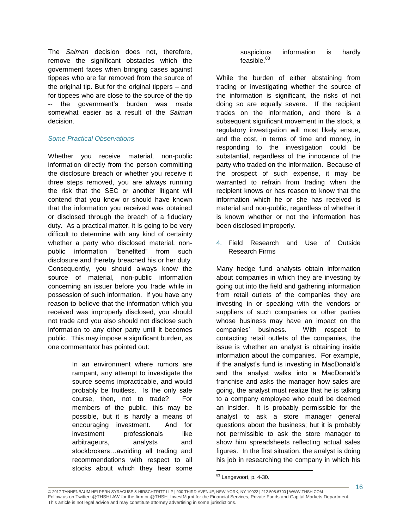The *Salman* decision does not, therefore, remove the significant obstacles which the government faces when bringing cases against tippees who are far removed from the source of the original tip. But for the original tippers – and for tippees who are close to the source of the tip -- the government's burden was made somewhat easier as a result of the *Salman* decision.

# *Some Practical Observations*

Whether you receive material, non-public information directly from the person committing the disclosure breach or whether you receive it three steps removed, you are always running the risk that the SEC or another litigant will contend that you knew or should have known that the information you received was obtained or disclosed through the breach of a fiduciary duty. As a practical matter, it is going to be very difficult to determine with any kind of certainty whether a party who disclosed material, nonpublic information "benefited" from such disclosure and thereby breached his or her duty. Consequently, you should always know the source of material, non-public information concerning an issuer before you trade while in possession of such information. If you have any reason to believe that the information which you received was improperly disclosed, you should not trade and you also should not disclose such information to any other party until it becomes public. This may impose a significant burden, as one commentator has pointed out:

> In an environment where rumors are rampant, any attempt to investigate the source seems impracticable, and would probably be fruitless. Is the only safe course, then, not to trade? For members of the public, this may be possible, but it is hardly a means of encouraging investment. And for investment professionals like arbitrageurs, analysts and stockbrokers…avoiding all trading and recommendations with respect to all stocks about which they hear some

suspicious information is hardly feasible.<sup>83</sup>

While the burden of either abstaining from trading or investigating whether the source of the information is significant, the risks of not doing so are equally severe. If the recipient trades on the information, and there is a subsequent significant movement in the stock, a regulatory investigation will most likely ensue, and the cost, in terms of time and money, in responding to the investigation could be substantial, regardless of the innocence of the party who traded on the information. Because of the prospect of such expense, it may be warranted to refrain from trading when the recipient knows or has reason to know that the information which he or she has received is material and non-public, regardless of whether it is known whether or not the information has been disclosed improperly.

4. Field Research and Use of Outside Research Firms

Many hedge fund analysts obtain information about companies in which they are investing by going out into the field and gathering information from retail outlets of the companies they are investing in or speaking with the vendors or suppliers of such companies or other parties whose business may have an impact on the companies' business. With respect to contacting retail outlets of the companies, the issue is whether an analyst is obtaining inside information about the companies. For example, if the analyst's fund is investing in MacDonald's and the analyst walks into a MacDonald's franchise and asks the manager how sales are going, the analyst must realize that he is talking to a company employee who could be deemed an insider. It is probably permissible for the analyst to ask a store manager general questions about the business; but it is probably not permissible to ask the store manager to show him spreadsheets reflecting actual sales figures. In the first situation, the analyst is doing his job in researching the company in which his

© 2017 TANNENBAUM HELPERN SYRACUSE & HIRSCHTRITT LLP | 900 THIRD AVENUE, NEW YORK, NY 10022 | 212.508.6700 | WWW.THSH.COM Follow us on Twitter: @THSHLAW for the firm or @THSH\_InvestMgmt for the Financial Services, Private Funds and Capital Markets Department. This article is not legal advice and may constitute attorney advertising in some jurisdictions.

 $\overline{a}$ <sup>83</sup> Langevoort, p. 4-30.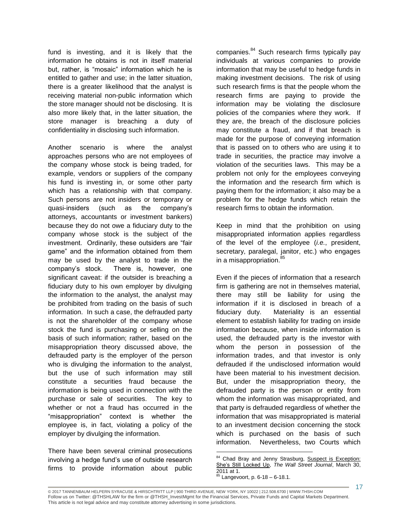fund is investing, and it is likely that the information he obtains is not in itself material but, rather, is "mosaic" information which he is entitled to gather and use; in the latter situation, there is a greater likelihood that the analyst is receiving material non-public information which the store manager should not be disclosing. It is also more likely that, in the latter situation, the store manager is breaching a duty of confidentiality in disclosing such information.

Another scenario is where the analyst approaches persons who are not employees of the company whose stock is being traded, for example, vendors or suppliers of the company his fund is investing in, or some other party which has a relationship with that company. Such persons are not insiders or temporary or quasi-insiders (such as the company's attorneys, accountants or investment bankers) because they do not owe a fiduciary duty to the company whose stock is the subject of the investment. Ordinarily, these outsiders are "fair game" and the information obtained from them may be used by the analyst to trade in the company's stock. There is, however, one significant caveat: if the outsider is breaching a fiduciary duty to his own employer by divulging the information to the analyst, the analyst may be prohibited from trading on the basis of such information. In such a case, the defrauded party is not the shareholder of the company whose stock the fund is purchasing or selling on the basis of such information; rather, based on the misappropriation theory discussed above, the defrauded party is the employer of the person who is divulging the information to the analyst, but the use of such information may still constitute a securities fraud because the information is being used in connection with the purchase or sale of securities. The key to whether or not a fraud has occurred in the "misappropriation" context is whether the employee is, in fact, violating a policy of the employer by divulging the information.

There have been several criminal prosecutions involving a hedge fund's use of outside research firms to provide information about public companies.<sup>84</sup> Such research firms typically pay individuals at various companies to provide information that may be useful to hedge funds in making investment decisions. The risk of using such research firms is that the people whom the research firms are paying to provide the information may be violating the disclosure policies of the companies where they work. If they are, the breach of the disclosure policies may constitute a fraud, and if that breach is made for the purpose of conveying information that is passed on to others who are using it to trade in securities, the practice may involve a violation of the securities laws. This may be a problem not only for the employees conveying the information and the research firm which is paying them for the information; it also may be a problem for the hedge funds which retain the research firms to obtain the information.

Keep in mind that the prohibition on using misappropriated information applies regardless of the level of the employee (*i.e.*, president, secretary, paralegal, janitor, etc.) who engages in a misappropriation.<sup>85</sup>

Even if the pieces of information that a research firm is gathering are not in themselves material, there may still be liability for using the information if it is disclosed in breach of a fiduciary duty. Materiality is an essential element to establish liability for trading on inside information because, when inside information is used, the defrauded party is the investor with whom the person in possession of the information trades, and that investor is only defrauded if the undisclosed information would have been material to his investment decision. But, under the misappropriation theory, the defrauded party is the person or entity from whom the information was misappropriated, and that party is defrauded regardless of whether the information that was misappropriated is material to an investment decision concerning the stock which is purchased on the basis of such information. Nevertheless, two Courts which

<sup>&</sup>lt;sup>84</sup> Chad Bray and Jenny Strasburg, **Suspect is Exception:** She's Still Locked Up, *The Wall Street Journal*, March 30, 2011 at 1.

Langevoort, p.  $6-18 - 6-18.1$ .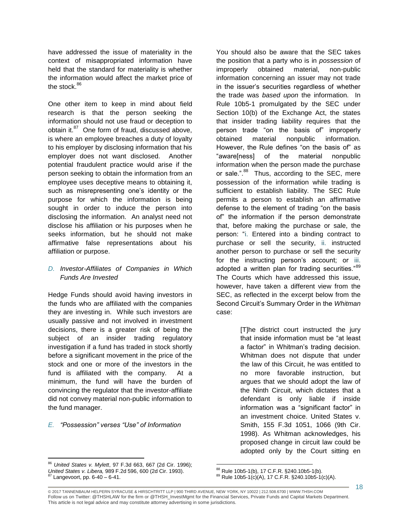have addressed the issue of materiality in the context of misappropriated information have held that the standard for materiality is whether the information would affect the market price of the stock.<sup>86</sup>

One other item to keep in mind about field research is that the person seeking the information should not use fraud or deception to obtain it.<sup>87</sup> One form of fraud, discussed above, is where an employee breaches a duty of loyalty to his employer by disclosing information that his employer does not want disclosed. Another potential fraudulent practice would arise if the person seeking to obtain the information from an employee uses deceptive means to obtaining it, such as misrepresenting one's identity or the purpose for which the information is being sought in order to induce the person into disclosing the information. An analyst need not disclose his affiliation or his purposes when he seeks information, but he should not make affirmative false representations about his affiliation or purpose.

# *D. Investor-Affiliates of Companies in Which Funds Are Invested*

Hedge Funds should avoid having investors in the funds who are affiliated with the companies they are investing in. While such investors are usually passive and not involved in investment decisions, there is a greater risk of being the subject of an insider trading regulatory investigation if a fund has traded in stock shortly before a significant movement in the price of the stock and one or more of the investors in the fund is affiliated with the company. At a minimum, the fund will have the burden of convincing the regulator that the investor-affiliate did not convey material non-public information to the fund manager.

# *E. "Possession" verses "Use" of Information*

 $\overline{a}$ 

You should also be aware that the SEC takes the position that a party who is in *possession* of improperly obtained material, non-public information concerning an issuer may not trade in the issuer's securities regardless of whether the trade was *based upon* the information. In Rule 10b5-1 promulgated by the SEC under Section 10(b) of the Exchange Act, the states that insider trading liability requires that the person trade "on the basis of" improperly obtained material nonpublic information. However, the Rule defines "on the basis of" as "aware[ness] of the material nonpublic information when the person made the purchase or sale.".<sup>88</sup> Thus, according to the SEC, mere possession of the information while trading is sufficient to establish liability. The SEC Rule permits a person to establish an affirmative defense to the element of trading "on the basis of" the information if the person demonstrate that, before making the purchase or sale, the person: "i. Entered into a binding contract to purchase or sell the security, ii. instructed another person to purchase or sell the security for the instructing person's account; or iii. adopted a written plan for trading securities."<sup>89</sup> The Courts which have addressed this issue, however, have taken a different view from the SEC, as reflected in the excerpt below from the Second Circuit's Summary Order in the *Whitman*  case:

> [T]he district court instructed the jury that inside information must be "at least a factor" in Whitman's trading decision. Whitman does not dispute that under the law of this Circuit, he was entitled to no more favorable instruction, but argues that we should adopt the law of the Ninth Circuit, which dictates that a defendant is only liable if inside information was a "significant factor" in an investment choice. United States v. Smith, 155 F.3d 1051, 1066 (9th Cir. 1998). As Whitman acknowledges, his proposed change in circuit law could be adopted only by the Court sitting en

<sup>86</sup> *United States v. Mylett*, 97 F.3d 663, 667 (2d Cir. 1996); *United States v. Libera,* 989 F.2d 596, 600 (2d Cir. 1993).  $87$  Langevoort, pp.  $6-40-6-41$ .

 $\overline{a}$  $88$  Rule 10b5-1(b), 17 C.F.R.  $\S$ 240.10b5-1(b).

 $89$  Rule 10b5-1(c)(A), 17 C.F.R. §240.10b5-1(c)(A).

<sup>© 2017</sup> TANNENBAUM HELPERN SYRACUSE & HIRSCHTRITT LLP | 900 THIRD AVENUE, NEW YORK, NY 10022 | 212.508.6700 | WWW.THSH.COM Follow us on Twitter: @THSHLAW for the firm or @THSH\_InvestMgmt for the Financial Services, Private Funds and Capital Markets Department. This article is not legal advice and may constitute attorney advertising in some jurisdictions.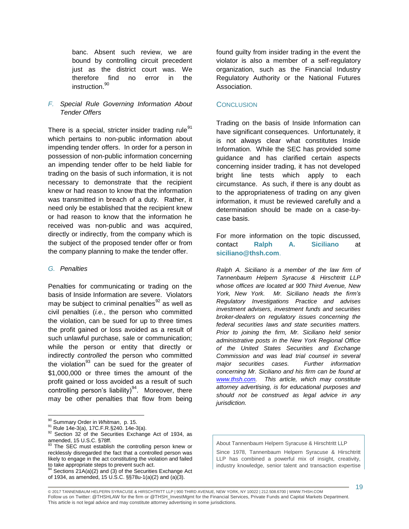banc. Absent such review, we are bound by controlling circuit precedent just as the district court was. We therefore find no error in the instruction.<sup>90</sup>

# *F. Special Rule Governing Information About Tender Offers*

There is a special, stricter insider trading rule $91$ which pertains to non-public information about impending tender offers. In order for a person in possession of non-public information concerning an impending tender offer to be held liable for trading on the basis of such information, it is not necessary to demonstrate that the recipient knew or had reason to know that the information was transmitted in breach of a duty. Rather, it need only be established that the recipient knew or had reason to know that the information he received was non-public and was acquired, directly or indirectly, from the company which is the subject of the proposed tender offer or from the company planning to make the tender offer.

### *G. Penalties*

Penalties for communicating or trading on the basis of Inside Information are severe. Violators may be subject to criminal penalties $92$  as well as civil penalties (*i.e.*, the person who committed the violation, can be sued for up to three times the profit gained or loss avoided as a result of such unlawful purchase, sale or communication; while the person or entity that directly or indirectly *controlled* the person who committed the violation $93$  can be sued for the greater of \$1,000,000 or three times the amount of the profit gained or loss avoided as a result of such controlling person's liability)<sup>94</sup>. Moreover, there may be other penalties that flow from being

 $\overline{a}$ 

found guilty from insider trading in the event the violator is also a member of a self-regulatory organization, such as the Financial Industry Regulatory Authority or the National Futures Association.

### CONCLUSION

Trading on the basis of Inside Information can have significant consequences. Unfortunately, it is not always clear what constitutes Inside Information. While the SEC has provided some guidance and has clarified certain aspects concerning insider trading, it has not developed bright line tests which apply to each circumstance. As such, if there is any doubt as to the appropriateness of trading on any given information, it must be reviewed carefully and a determination should be made on a case-bycase basis.

For more information on the topic discussed, contact **Ralph A. Siciliano** at **siciliano@thsh.com**.

*Ralph A. Siciliano is a member of the law firm of Tannenbaum Helpern Syracuse & Hirschtritt LLP whose offices are located at 900 Third Avenue, New York, New York. Mr. Siciliano heads the firm's Regulatory Investigations Practice and advises investment advisers, investment funds and securities broker-dealers on regulatory issues concerning the federal securities laws and state securities matters. Prior to joining the firm, Mr. Siciliano held senior administrative posts in the New York Regional Office of the United States Securities and Exchange Commission and was lead trial counsel in several major securities cases. Further information concerning Mr. Siciliano and his firm can be found at www.thsh.com. This article, which may constitute attorney advertising, is for educational purposes and should not be construed as legal advice in any jurisdiction.*

About Tannenbaum Helpern Syracuse & Hirschtritt LLP Since 1978, Tannenbaum Helpern Syracuse & Hirschtritt LLP has combined a powerful mix of insight, creativity, industry knowledge, senior talent and transaction expertise

<sup>90</sup> Summary Order in *Whitman*, p. 15.

<sup>91</sup> Rule 14e-3(a), 17C.F.R.§240. 14e-3(a).

<sup>&</sup>lt;sup>92</sup> Section 32 of the Securities Exchange Act of 1934, as amended, 15 U.S.C. §78ff.<br><sup>93</sup> The SEC must establish the controlling person knew or

recklessly disregarded the fact that a controlled person was likely to engage in the act constituting the violation and failed to take appropriate steps to prevent such act.

 $94$  Sections 21A(a)(2) and (3) of the Securities Exchange Act of 1934, as amended, 15 U.S.C. §§78u-1(a)(2) and (a)(3).